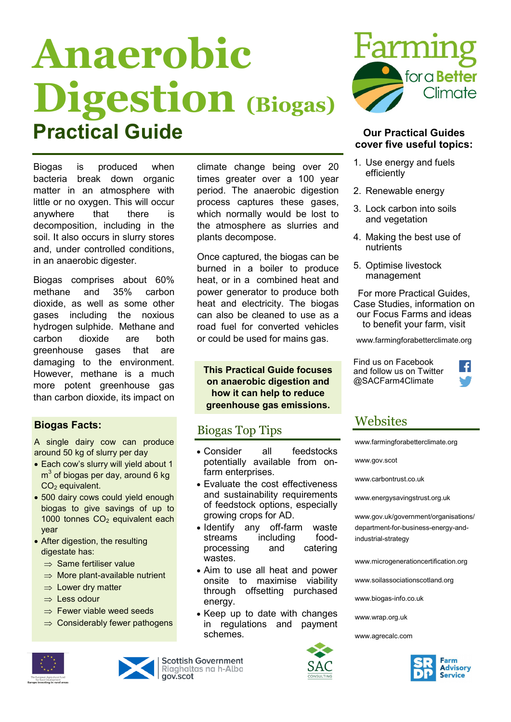# **Anaerobic Digestion (Biogas) Practical Guide Our Practical Guides**

climate change being over 20 times greater over a 100 year period. The anaerobic digestion process captures these gases, which normally would be lost to the atmosphere as slurries and

Once captured, the biogas can be burned in a boiler to produce heat, or in a combined heat and power generator to produce both heat and electricity. The biogas can also be cleaned to use as a road fuel for converted vehicles or could be used for mains gas.

**This Practical Guide focuses on anaerobic digestion and how it can help to reduce greenhouse gas emissions.**

 Consider all feedstocks potentially available from on-

 Evaluate the cost effectiveness and sustainability requirements of feedstock options, especially

• Identify any off-farm waste streams including food-<br>processing and catering processing and catering

 Aim to use all heat and power onsite to maximise viability through offsetting purchased

Biogas Top Tips

farm enterprises.

growing crops for AD.

plants decompose.



# **cover five useful topics:**

- 1. Use energy and fuels efficiently
- 2. Renewable energy
- 3. Lock carbon into soils and vegetation
- 4. Making the best use of nutrients
- 5. Optimise livestock management

For more Practical Guides, Case Studies, information on our Focus Farms and ideas to benefit your farm, visit

www.farmingforabetterclimate.org

Find us on Facebook and follow us on Twitter @SACFarm4Climate



## Websites

[www.farmingforabetterclimate.org](http://www.farmingforabetterclimate.org)

www.gov.scot

[www.carbontrust.co.uk](http://www.carbontrust.co.uk)

[www.energysavingstrust.org.uk](http://www.energysavingtrust.org.uk/scotland/)

www.gov.uk/government/organisations/ department-for-business-energy-andindustrial-strategy

[www.microgenerationcertification.org](http://www.microgenerationcertification.org)

[www.soilassociationscotland.org](http://www.soilassociation.org/scotland)

[www.biogas](http://www.biogas-info.co.uk)-info.co.uk

www.wrap.org.uk

www.agrecalc.com



Biogas is produced when bacteria break down organic matter in an atmosphere with little or no oxygen. This will occur anywhere that there is decomposition, including in the soil. It also occurs in slurry stores and, under controlled conditions, in an anaerobic digester.

Biogas comprises about 60% methane and 35% carbon dioxide, as well as some other gases including the noxious hydrogen sulphide. Methane and carbon dioxide are both greenhouse gases that are damaging to the environment. However, methane is a much more potent greenhouse gas than carbon dioxide, its impact on

### **Biogas Facts:**

A single dairy cow can produce around 50 kg of slurry per day

- Each cow's slurry will yield about 1  $m<sup>3</sup>$  of biogas per day, around 6 kg CO<sub>2</sub> equivalent.
- 500 dairy cows could yield enough biogas to give savings of up to 1000 tonnes  $CO<sub>2</sub>$  equivalent each year
- After digestion, the resulting digestate has:
	- $\Rightarrow$  Same fertiliser value
	- $\Rightarrow$  More plant-available nutrient
	- $\Rightarrow$  Lower dry matter
	- $\Rightarrow$  Less odour
	- $\Rightarrow$  Fewer viable weed seeds
	- $\Rightarrow$  Considerably fewer pathogens



**Scottish Government** Riaghaltas na h-Alba qov.scot



• Keep up to date with changes in regulations and payment schemes.

wastes.